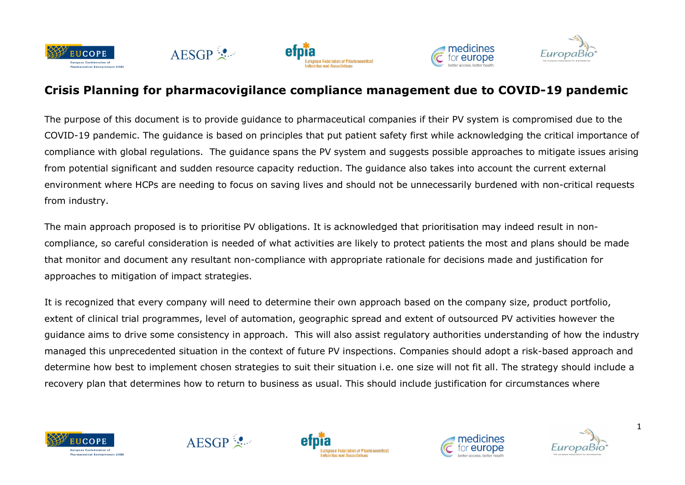







## **Crisis Planning for pharmacovigilance compliance management due to COVID-19 pandemic**

The purpose of this document is to provide guidance to pharmaceutical companies if their PV system is compromised due to the COVID-19 pandemic. The guidance is based on principles that put patient safety first while acknowledging the critical importance of compliance with global regulations. The guidance spans the PV system and suggests possible approaches to mitigate issues arising from potential significant and sudden resource capacity reduction. The guidance also takes into account the current external environment where HCPs are needing to focus on saving lives and should not be unnecessarily burdened with non-critical requests from industry.

The main approach proposed is to prioritise PV obligations. It is acknowledged that prioritisation may indeed result in noncompliance, so careful consideration is needed of what activities are likely to protect patients the most and plans should be made that monitor and document any resultant non-compliance with appropriate rationale for decisions made and justification for approaches to mitigation of impact strategies.

It is recognized that every company will need to determine their own approach based on the company size, product portfolio, extent of clinical trial programmes, level of automation, geographic spread and extent of outsourced PV activities however the guidance aims to drive some consistency in approach. This will also assist regulatory authorities understanding of how the industry managed this unprecedented situation in the context of future PV inspections. Companies should adopt a risk-based approach and determine how best to implement chosen strategies to suit their situation i.e. one size will not fit all. The strategy should include a recovery plan that determines how to return to business as usual. This should include justification for circumstances where









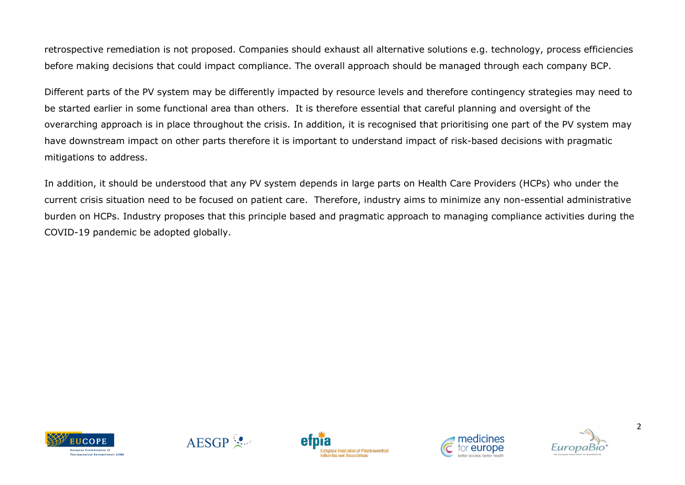retrospective remediation is not proposed. Companies should exhaust all alternative solutions e.g. technology, process efficiencies before making decisions that could impact compliance. The overall approach should be managed through each company BCP.

Different parts of the PV system may be differently impacted by resource levels and therefore contingency strategies may need to be started earlier in some functional area than others. It is therefore essential that careful planning and oversight of the overarching approach is in place throughout the crisis. In addition, it is recognised that prioritising one part of the PV system may have downstream impact on other parts therefore it is important to understand impact of risk-based decisions with pragmatic mitigations to address.

In addition, it should be understood that any PV system depends in large parts on Health Care Providers (HCPs) who under the current crisis situation need to be focused on patient care. Therefore, industry aims to minimize any non-essential administrative burden on HCPs. Industry proposes that this principle based and pragmatic approach to managing compliance activities during the COVID-19 pandemic be adopted globally.









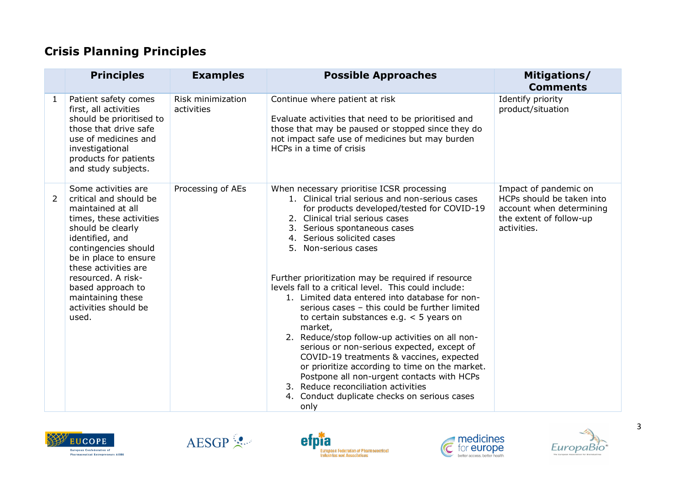## **Crisis Planning Principles**

|                | <b>Principles</b>                                                                                                                                                                                                                                                                                               | <b>Examples</b>                 | <b>Possible Approaches</b>                                                                                                                                                                                                                                                                                                                                                                                                                                                                                                                                                                                                                                                                                                                                                                                                                                                               | Mitigations/<br><b>Comments</b>                                                                                          |
|----------------|-----------------------------------------------------------------------------------------------------------------------------------------------------------------------------------------------------------------------------------------------------------------------------------------------------------------|---------------------------------|------------------------------------------------------------------------------------------------------------------------------------------------------------------------------------------------------------------------------------------------------------------------------------------------------------------------------------------------------------------------------------------------------------------------------------------------------------------------------------------------------------------------------------------------------------------------------------------------------------------------------------------------------------------------------------------------------------------------------------------------------------------------------------------------------------------------------------------------------------------------------------------|--------------------------------------------------------------------------------------------------------------------------|
| $\mathbf{1}$   | Patient safety comes<br>first, all activities<br>should be prioritised to<br>those that drive safe<br>use of medicines and<br>investigational<br>products for patients<br>and study subjects.                                                                                                                   | Risk minimization<br>activities | Continue where patient at risk<br>Evaluate activities that need to be prioritised and<br>those that may be paused or stopped since they do<br>not impact safe use of medicines but may burden<br>HCPs in a time of crisis                                                                                                                                                                                                                                                                                                                                                                                                                                                                                                                                                                                                                                                                | Identify priority<br>product/situation                                                                                   |
| $\overline{2}$ | Some activities are<br>critical and should be<br>maintained at all<br>times, these activities<br>should be clearly<br>identified, and<br>contingencies should<br>be in place to ensure<br>these activities are<br>resourced. A risk-<br>based approach to<br>maintaining these<br>activities should be<br>used. | Processing of AEs               | When necessary prioritise ICSR processing<br>1. Clinical trial serious and non-serious cases<br>for products developed/tested for COVID-19<br>2. Clinical trial serious cases<br>3. Serious spontaneous cases<br>4. Serious solicited cases<br>5. Non-serious cases<br>Further prioritization may be required if resource<br>levels fall to a critical level. This could include:<br>1. Limited data entered into database for non-<br>serious cases - this could be further limited<br>to certain substances e.g. $<$ 5 years on<br>market,<br>2. Reduce/stop follow-up activities on all non-<br>serious or non-serious expected, except of<br>COVID-19 treatments & vaccines, expected<br>or prioritize according to time on the market.<br>Postpone all non-urgent contacts with HCPs<br>3. Reduce reconciliation activities<br>4. Conduct duplicate checks on serious cases<br>only | Impact of pandemic on<br>HCPs should be taken into<br>account when determining<br>the extent of follow-up<br>activities. |









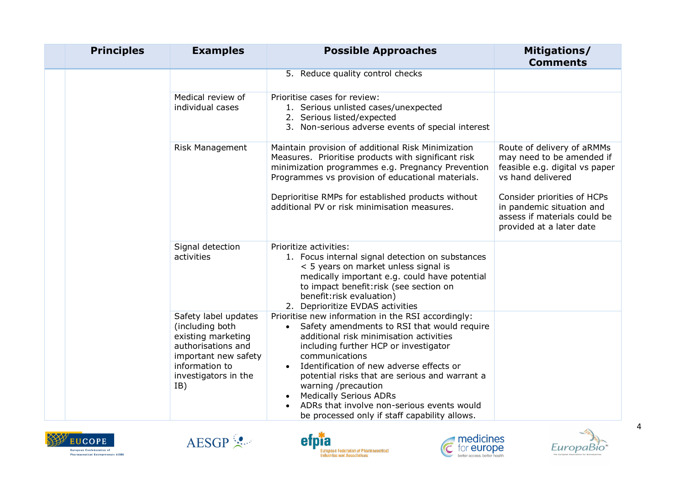| <b>Principles</b> | <b>Examples</b>                                                                                                                                              | <b>Possible Approaches</b>                                                                                                                                                                                                                                                                                                                                                                                                                                                | Mitigations/<br><b>Comments</b>                                                                                      |
|-------------------|--------------------------------------------------------------------------------------------------------------------------------------------------------------|---------------------------------------------------------------------------------------------------------------------------------------------------------------------------------------------------------------------------------------------------------------------------------------------------------------------------------------------------------------------------------------------------------------------------------------------------------------------------|----------------------------------------------------------------------------------------------------------------------|
|                   |                                                                                                                                                              | 5. Reduce quality control checks                                                                                                                                                                                                                                                                                                                                                                                                                                          |                                                                                                                      |
|                   | Medical review of<br>individual cases                                                                                                                        | Prioritise cases for review:<br>1. Serious unlisted cases/unexpected<br>2. Serious listed/expected<br>3. Non-serious adverse events of special interest                                                                                                                                                                                                                                                                                                                   |                                                                                                                      |
|                   | Risk Management                                                                                                                                              | Maintain provision of additional Risk Minimization<br>Measures. Prioritise products with significant risk<br>minimization programmes e.g. Pregnancy Prevention<br>Programmes vs provision of educational materials.                                                                                                                                                                                                                                                       | Route of delivery of aRMMs<br>may need to be amended if<br>feasible e.g. digital vs paper<br>vs hand delivered       |
|                   |                                                                                                                                                              | Deprioritise RMPs for established products without<br>additional PV or risk minimisation measures.                                                                                                                                                                                                                                                                                                                                                                        | Consider priorities of HCPs<br>in pandemic situation and<br>assess if materials could be<br>provided at a later date |
|                   | Signal detection<br>activities                                                                                                                               | Prioritize activities:<br>1. Focus internal signal detection on substances<br>< 5 years on market unless signal is<br>medically important e.g. could have potential<br>to impact benefit: risk (see section on<br>benefit: risk evaluation)<br>2. Deprioritize EVDAS activities                                                                                                                                                                                           |                                                                                                                      |
|                   | Safety label updates<br>(including both<br>existing marketing<br>authorisations and<br>important new safety<br>information to<br>investigators in the<br>IB) | Prioritise new information in the RSI accordingly:<br>Safety amendments to RSI that would require<br>$\bullet$<br>additional risk minimisation activities<br>including further HCP or investigator<br>communications<br>Identification of new adverse effects or<br>potential risks that are serious and warrant a<br>warning /precaution<br><b>Medically Serious ADRs</b><br>ADRs that involve non-serious events would<br>be processed only if staff capability allows. |                                                                                                                      |









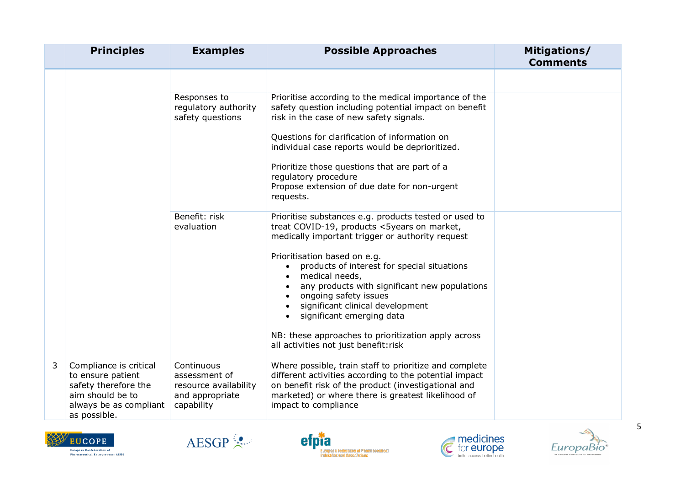|   | <b>Principles</b>                                                                                                                 | <b>Examples</b>                                                                       | <b>Possible Approaches</b>                                                                                                                                                                                                                                                                   | Mitigations/<br><b>Comments</b> |
|---|-----------------------------------------------------------------------------------------------------------------------------------|---------------------------------------------------------------------------------------|----------------------------------------------------------------------------------------------------------------------------------------------------------------------------------------------------------------------------------------------------------------------------------------------|---------------------------------|
|   |                                                                                                                                   |                                                                                       |                                                                                                                                                                                                                                                                                              |                                 |
|   |                                                                                                                                   | Responses to<br>regulatory authority<br>safety questions                              | Prioritise according to the medical importance of the<br>safety question including potential impact on benefit<br>risk in the case of new safety signals.                                                                                                                                    |                                 |
|   |                                                                                                                                   |                                                                                       | Questions for clarification of information on<br>individual case reports would be deprioritized.                                                                                                                                                                                             |                                 |
|   |                                                                                                                                   |                                                                                       | Prioritize those questions that are part of a<br>regulatory procedure<br>Propose extension of due date for non-urgent<br>requests.                                                                                                                                                           |                                 |
|   |                                                                                                                                   | Benefit: risk<br>evaluation                                                           | Prioritise substances e.g. products tested or used to<br>treat COVID-19, products <5years on market,<br>medically important trigger or authority request                                                                                                                                     |                                 |
|   |                                                                                                                                   |                                                                                       | Prioritisation based on e.g.<br>products of interest for special situations<br>$\bullet$<br>medical needs,<br>$\bullet$<br>any products with significant new populations<br>ongoing safety issues<br>significant clinical development<br>$\bullet$<br>significant emerging data<br>$\bullet$ |                                 |
|   |                                                                                                                                   |                                                                                       | NB: these approaches to prioritization apply across<br>all activities not just benefit: risk                                                                                                                                                                                                 |                                 |
| 3 | Compliance is critical<br>to ensure patient<br>safety therefore the<br>aim should be to<br>always be as compliant<br>as possible. | Continuous<br>assessment of<br>resource availability<br>and appropriate<br>capability | Where possible, train staff to prioritize and complete<br>different activities according to the potential impact<br>on benefit risk of the product (investigational and<br>marketed) or where there is greatest likelihood of<br>impact to compliance                                        |                                 |









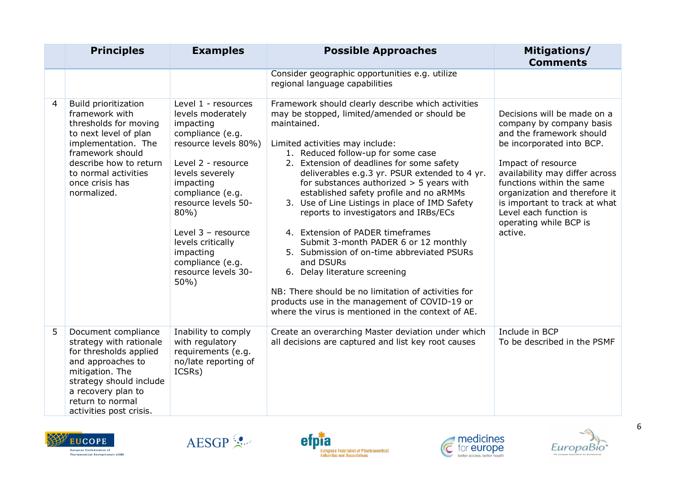|   | <b>Principles</b>                                                                                                                                                                                                              | <b>Examples</b>                                                                                                                                                                                                                                                                                                         | <b>Possible Approaches</b>                                                                                                                                                                                                                                                                                                                                                                                                                                                                                                                                                                                                                                                                                                                                                                                         | Mitigations/<br><b>Comments</b>                                                                                                                                                                                                                                                                                                        |
|---|--------------------------------------------------------------------------------------------------------------------------------------------------------------------------------------------------------------------------------|-------------------------------------------------------------------------------------------------------------------------------------------------------------------------------------------------------------------------------------------------------------------------------------------------------------------------|--------------------------------------------------------------------------------------------------------------------------------------------------------------------------------------------------------------------------------------------------------------------------------------------------------------------------------------------------------------------------------------------------------------------------------------------------------------------------------------------------------------------------------------------------------------------------------------------------------------------------------------------------------------------------------------------------------------------------------------------------------------------------------------------------------------------|----------------------------------------------------------------------------------------------------------------------------------------------------------------------------------------------------------------------------------------------------------------------------------------------------------------------------------------|
|   |                                                                                                                                                                                                                                |                                                                                                                                                                                                                                                                                                                         | Consider geographic opportunities e.g. utilize<br>regional language capabilities                                                                                                                                                                                                                                                                                                                                                                                                                                                                                                                                                                                                                                                                                                                                   |                                                                                                                                                                                                                                                                                                                                        |
| 4 | <b>Build prioritization</b><br>framework with<br>thresholds for moving<br>to next level of plan<br>implementation. The<br>framework should<br>describe how to return<br>to normal activities<br>once crisis has<br>normalized. | Level 1 - resources<br>levels moderately<br>impacting<br>compliance (e.g.<br>resource levels 80%)<br>Level 2 - resource<br>levels severely<br>impacting<br>compliance (e.g.<br>resource levels 50-<br>80%)<br>Level $3$ – resource<br>levels critically<br>impacting<br>compliance (e.g.<br>resource levels 30-<br>50%) | Framework should clearly describe which activities<br>may be stopped, limited/amended or should be<br>maintained.<br>Limited activities may include:<br>1. Reduced follow-up for some case<br>2. Extension of deadlines for some safety<br>deliverables e.g.3 yr. PSUR extended to 4 yr.<br>for substances authorized $>$ 5 years with<br>established safety profile and no aRMMs<br>3. Use of Line Listings in place of IMD Safety<br>reports to investigators and IRBs/ECs<br>4. Extension of PADER timeframes<br>Submit 3-month PADER 6 or 12 monthly<br>5. Submission of on-time abbreviated PSURs<br>and DSURs<br>6. Delay literature screening<br>NB: There should be no limitation of activities for<br>products use in the management of COVID-19 or<br>where the virus is mentioned in the context of AE. | Decisions will be made on a<br>company by company basis<br>and the framework should<br>be incorporated into BCP.<br>Impact of resource<br>availability may differ across<br>functions within the same<br>organization and therefore it<br>is important to track at what<br>Level each function is<br>operating while BCP is<br>active. |
| 5 | Document compliance<br>strategy with rationale<br>for thresholds applied<br>and approaches to<br>mitigation. The<br>strategy should include<br>a recovery plan to<br>return to normal<br>activities post crisis.               | Inability to comply<br>with regulatory<br>requirements (e.g.<br>no/late reporting of<br>ICSRs)                                                                                                                                                                                                                          | Create an overarching Master deviation under which<br>all decisions are captured and list key root causes                                                                                                                                                                                                                                                                                                                                                                                                                                                                                                                                                                                                                                                                                                          | Include in BCP<br>To be described in the PSMF                                                                                                                                                                                                                                                                                          |









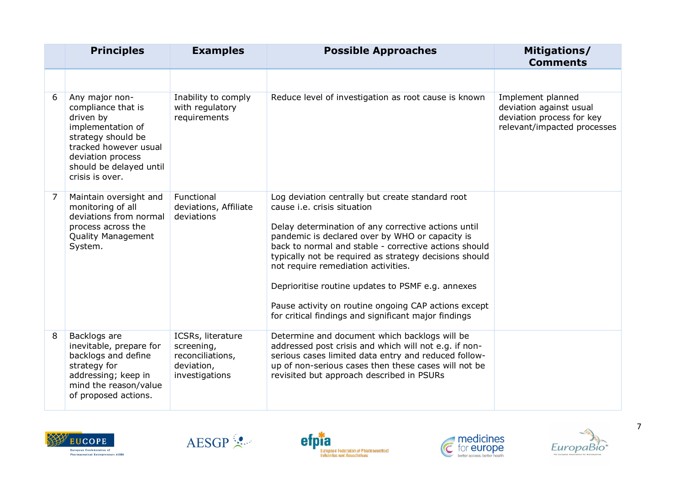|   | <b>Principles</b>                                                                                                                                                                        | <b>Examples</b>                                                                     | <b>Possible Approaches</b>                                                                                                                                                                                                                                                                                                                                                                                                                                                                                               | Mitigations/<br><b>Comments</b>                                                                          |
|---|------------------------------------------------------------------------------------------------------------------------------------------------------------------------------------------|-------------------------------------------------------------------------------------|--------------------------------------------------------------------------------------------------------------------------------------------------------------------------------------------------------------------------------------------------------------------------------------------------------------------------------------------------------------------------------------------------------------------------------------------------------------------------------------------------------------------------|----------------------------------------------------------------------------------------------------------|
|   |                                                                                                                                                                                          |                                                                                     |                                                                                                                                                                                                                                                                                                                                                                                                                                                                                                                          |                                                                                                          |
| 6 | Any major non-<br>compliance that is<br>driven by<br>implementation of<br>strategy should be<br>tracked however usual<br>deviation process<br>should be delayed until<br>crisis is over. | Inability to comply<br>with regulatory<br>requirements                              | Reduce level of investigation as root cause is known                                                                                                                                                                                                                                                                                                                                                                                                                                                                     | Implement planned<br>deviation against usual<br>deviation process for key<br>relevant/impacted processes |
| 7 | Maintain oversight and<br>monitoring of all<br>deviations from normal<br>process across the<br><b>Quality Management</b><br>System.                                                      | Functional<br>deviations, Affiliate<br>deviations                                   | Log deviation centrally but create standard root<br>cause i.e. crisis situation<br>Delay determination of any corrective actions until<br>pandemic is declared over by WHO or capacity is<br>back to normal and stable - corrective actions should<br>typically not be required as strategy decisions should<br>not require remediation activities.<br>Deprioritise routine updates to PSMF e.g. annexes<br>Pause activity on routine ongoing CAP actions except<br>for critical findings and significant major findings |                                                                                                          |
| 8 | Backlogs are<br>inevitable, prepare for<br>backlogs and define<br>strategy for<br>addressing; keep in<br>mind the reason/value<br>of proposed actions.                                   | ICSRs, literature<br>screening,<br>reconciliations,<br>deviation,<br>investigations | Determine and document which backlogs will be<br>addressed post crisis and which will not e.g. if non-<br>serious cases limited data entry and reduced follow-<br>up of non-serious cases then these cases will not be<br>revisited but approach described in PSURs                                                                                                                                                                                                                                                      |                                                                                                          |









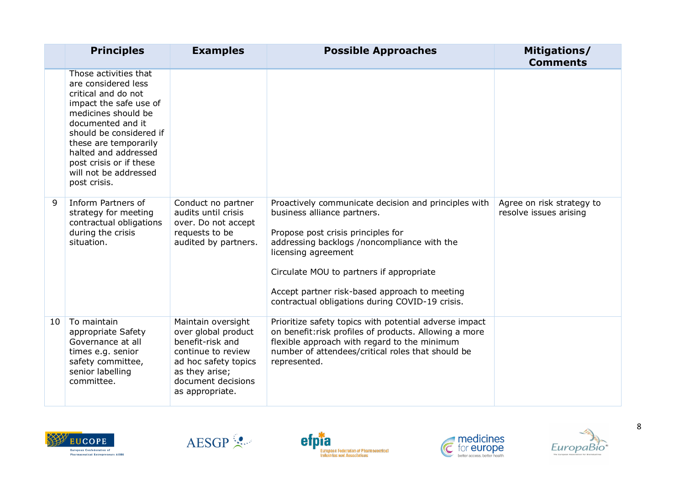|    | <b>Principles</b>                                                                                                                                                                                                                                                                         | <b>Examples</b>                                                                                                                                                        | <b>Possible Approaches</b>                                                                                                                                                                                                                                                                                                                      | Mitigations/<br><b>Comments</b>                     |
|----|-------------------------------------------------------------------------------------------------------------------------------------------------------------------------------------------------------------------------------------------------------------------------------------------|------------------------------------------------------------------------------------------------------------------------------------------------------------------------|-------------------------------------------------------------------------------------------------------------------------------------------------------------------------------------------------------------------------------------------------------------------------------------------------------------------------------------------------|-----------------------------------------------------|
|    | Those activities that<br>are considered less<br>critical and do not<br>impact the safe use of<br>medicines should be<br>documented and it<br>should be considered if<br>these are temporarily<br>halted and addressed<br>post crisis or if these<br>will not be addressed<br>post crisis. |                                                                                                                                                                        |                                                                                                                                                                                                                                                                                                                                                 |                                                     |
| 9  | Inform Partners of<br>strategy for meeting<br>contractual obligations<br>during the crisis<br>situation.                                                                                                                                                                                  | Conduct no partner<br>audits until crisis<br>over. Do not accept<br>requests to be<br>audited by partners.                                                             | Proactively communicate decision and principles with<br>business alliance partners.<br>Propose post crisis principles for<br>addressing backlogs /noncompliance with the<br>licensing agreement<br>Circulate MOU to partners if appropriate<br>Accept partner risk-based approach to meeting<br>contractual obligations during COVID-19 crisis. | Agree on risk strategy to<br>resolve issues arising |
| 10 | To maintain<br>appropriate Safety<br>Governance at all<br>times e.g. senior<br>safety committee,<br>senior labelling<br>committee.                                                                                                                                                        | Maintain oversight<br>over global product<br>benefit-risk and<br>continue to review<br>ad hoc safety topics<br>as they arise;<br>document decisions<br>as appropriate. | Prioritize safety topics with potential adverse impact<br>on benefit: risk profiles of products. Allowing a more<br>flexible approach with regard to the minimum<br>number of attendees/critical roles that should be<br>represented.                                                                                                           |                                                     |